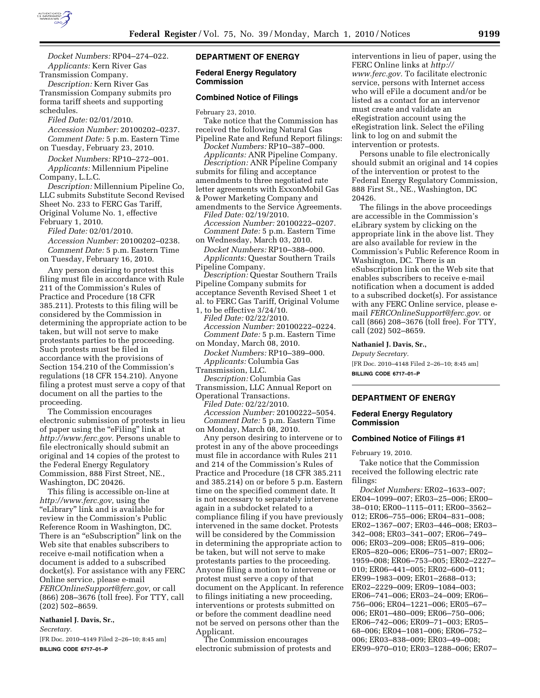

*Docket Numbers:* RP04–274–022. *Applicants:* Kern River Gas Transmission Company.

*Description:* Kern River Gas Transmission Company submits pro forma tariff sheets and supporting schedules.

*Filed Date:* 02/01/2010. *Accession Number:* 20100202–0237. *Comment Date:* 5 p.m. Eastern Time on Tuesday, February 23, 2010.

*Docket Numbers:* RP10–272–001. *Applicants:* Millennium Pipeline Company, L.L.C.

*Description:* Millennium Pipeline Co, LLC submits Substitute Second Revised Sheet No. 233 to FERC Gas Tariff, Original Volume No. 1, effective February 1, 2010.

*Filed Date:* 02/01/2010. *Accession Number:* 20100202–0238. *Comment Date:* 5 p.m. Eastern Time

on Tuesday, February 16, 2010.

Any person desiring to protest this filing must file in accordance with Rule 211 of the Commission's Rules of Practice and Procedure (18 CFR 385.211). Protests to this filing will be considered by the Commission in determining the appropriate action to be taken, but will not serve to make protestants parties to the proceeding. Such protests must be filed in accordance with the provisions of Section 154.210 of the Commission's regulations (18 CFR 154.210). Anyone filing a protest must serve a copy of that document on all the parties to the proceeding.

The Commission encourages electronic submission of protests in lieu of paper using the "eFiling" link at *http://www.ferc.gov.* Persons unable to file electronically should submit an original and 14 copies of the protest to the Federal Energy Regulatory Commission, 888 First Street, NE., Washington, DC 20426.

This filing is accessible on-line at *http://www.ferc.gov,* using the ''eLibrary'' link and is available for review in the Commission's Public Reference Room in Washington, DC. There is an "eSubscription" link on the Web site that enables subscribers to receive e-mail notification when a document is added to a subscribed docket(s). For assistance with any FERC Online service, please e-mail *FERCOnlineSupport@ferc.gov,* or call (866) 208–3676 (toll free). For TTY, call (202) 502–8659.

# **Nathaniel J. Davis, Sr.,**

*Secretary.* 

[FR Doc. 2010–4149 Filed 2–26–10; 8:45 am] **BILLING CODE 6717–01–P** 

# **DEPARTMENT OF ENERGY**

#### **Federal Energy Regulatory Commission**

#### **Combined Notice of Filings**

February 23, 2010.

Take notice that the Commission has received the following Natural Gas Pipeline Rate and Refund Report filings:

*Docket Numbers:* RP10–387–000. *Applicants:* ANR Pipeline Company. *Description:* ANR Pipeline Company

submits for filing and acceptance amendments to three negotiated rate letter agreements with ExxonMobil Gas & Power Marketing Company and

amendments to the Service Agreements. *Filed Date:* 02/19/2010. *Accession Number:* 20100222–0207. *Comment Date:* 5 p.m. Eastern Time

on Wednesday, March 03, 2010. *Docket Numbers:* RP10–388–000. *Applicants:* Questar Southern Trails Pipeline Company. *Description:* Questar Southern Trails

Pipeline Company submits for acceptance Seventh Revised Sheet 1 et al. to FERC Gas Tariff, Original Volume 1, to be effective 3/24/10.

*Filed Date:* 02/22/2010. *Accession Number:* 20100222–0224. *Comment Date:* 5 p.m. Eastern Time on Monday, March 08, 2010.

*Docket Numbers:* RP10–389–000. *Applicants:* Columbia Gas

Transmission, LLC.

*Description:* Columbia Gas Transmission, LLC Annual Report on

Operational Transactions.

*Filed Date:* 02/22/2010. *Accession Number:* 20100222–5054. *Comment Date:* 5 p.m. Eastern Time on Monday, March 08, 2010.

Any person desiring to intervene or to protest in any of the above proceedings must file in accordance with Rules 211 and 214 of the Commission's Rules of Practice and Procedure (18 CFR 385.211 and 385.214) on or before 5 p.m. Eastern time on the specified comment date. It is not necessary to separately intervene again in a subdocket related to a compliance filing if you have previously intervened in the same docket. Protests will be considered by the Commission in determining the appropriate action to be taken, but will not serve to make protestants parties to the proceeding. Anyone filing a motion to intervene or protest must serve a copy of that document on the Applicant. In reference to filings initiating a new proceeding, interventions or protests submitted on or before the comment deadline need not be served on persons other than the Applicant.

The Commission encourages electronic submission of protests and

interventions in lieu of paper, using the FERC Online links at *http:// www.ferc.gov.* To facilitate electronic service, persons with Internet access who will eFile a document and/or be listed as a contact for an intervenor must create and validate an eRegistration account using the eRegistration link. Select the eFiling link to log on and submit the intervention or protests.

Persons unable to file electronically should submit an original and 14 copies of the intervention or protest to the Federal Energy Regulatory Commission, 888 First St., NE., Washington, DC 20426.

The filings in the above proceedings are accessible in the Commission's eLibrary system by clicking on the appropriate link in the above list. They are also available for review in the Commission's Public Reference Room in Washington, DC. There is an eSubscription link on the Web site that enables subscribers to receive e-mail notification when a document is added to a subscribed docket(s). For assistance with any FERC Online service, please email *FERCOnlineSupport@ferc.gov.* or call (866) 208–3676 (toll free). For TTY, call (202) 502–8659.

#### **Nathaniel J. Davis, Sr.,**

*Deputy Secretary.*  [FR Doc. 2010–4148 Filed 2–26–10; 8:45 am] **BILLING CODE 6717–01–P** 

# **DEPARTMENT OF ENERGY**

## **Federal Energy Regulatory Commission**

#### **Combined Notice of Filings #1**

February 19, 2010.

Take notice that the Commission received the following electric rate filings:

*Docket Numbers:* ER02–1633–007; ER04–1099–007; ER03–25–006; ER00– 38–010; ER00–1115–011; ER00–3562– 012; ER06–755–006; ER04–831–008; ER02–1367–007; ER03–446–008; ER03– 342–008; ER03–341–007; ER06–749– 006; ER03–209–008; ER05–819–006; ER05–820–006; ER06–751–007; ER02– 1959–008; ER06–753–005; ER02–2227– 010; ER06–441–005; ER02–600–011; ER99–1983–009; ER01–2688–013; ER02–2229–009; ER09–1084–003; ER06–741–006; ER03–24–009; ER06– 756–006; ER04–1221–006; ER05–67– 006; ER01–480–009; ER06–750–006; ER06–742–006; ER09–71–003; ER05– 68–006; ER04–1081–006; ER06–752– 006; ER03–838–009; ER03–49–008; ER99–970–010; ER03–1288–006; ER07–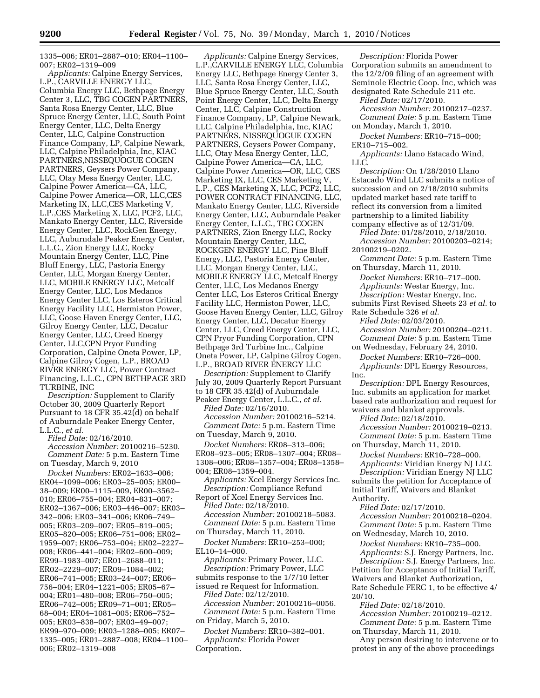1335–006; ER01–2887–010; ER04–1100– 007; ER02–1319–009

*Applicants:* Calpine Energy Services, L.P., CARVILLE ENERGY LLC, Columbia Energy LLC, Bethpage Energy Center 3, LLC, TBG COGEN PARTNERS, Santa Rosa Energy Center, LLC, Blue Spruce Energy Center, LLC, South Point Energy Center, LLC, Delta Energy Center, LLC, Calpine Construction Finance Company, LP, Calpine Newark, LLC, Calpine Philadelphia, Inc, KIAC PARTNERS,NISSEQUOGUE COGEN PARTNERS, Geysers Power Company, LLC, Otay Mesa Energy Center, LLC, Calpine Power America—CA, LLC, Calpine Power America—OR, LLC,CES Marketing IX, LLC,CES Marketing V, L.P.,CES Marketing X, LLC, PCF2, LLC, Mankato Energy Center, LLC, Riverside Energy Center, LLC, RockGen Energy, LLC, Auburndale Peaker Energy Center, L.L.C., Zion Energy LLC, Rocky Mountain Energy Center, LLC, Pine Bluff Energy, LLC, Pastoria Energy Center, LLC, Morgan Energy Center, LLC, MOBILE ENERGY LLC, Metcalf Energy Center, LLC, Los Medanos Energy Center LLC, Los Esteros Critical Energy Facility LLC, Hermiston Power, LLC, Goose Haven Energy Center, LLC, Gilroy Energy Center, LLC, Decatur Energy Center, LLC, Creed Energy Center, LLC,CPN Pryor Funding Corporation, Calpine Oneta Power, LP, Calpine Gilroy Cogen, L.P., BROAD RIVER ENERGY LLC, Power Contract Financing, L.L.C., CPN BETHPAGE 3RD TURBINE, INC

*Description:* Supplement to Clarify October 30, 2009 Quarterly Report Pursuant to 18 CFR 35.42(d) on behalf of Auburndale Peaker Energy Center, L.L.C., *et al.* 

*Filed Date:* 02/16/2010. *Accession Number:* 20100216–5230. *Comment Date:* 5 p.m. Eastern Time on Tuesday, March 9, 2010

*Docket Numbers:* ER02–1633–006; ER04–1099–006; ER03–25–005; ER00– 38–009; ER00–1115–009, ER00–3562– 010; ER06–755–004; ER04–831–007; ER02–1367–006; ER03–446–007; ER03– 342–006; ER03–341–006; ER06–749– 005; ER03–209–007; ER05–819–005; ER05–820–005; ER06–751–006; ER02– 1959–007; ER06–753–004; ER02–2227– 008; ER06–441–004; ER02–600–009; ER99–1983–007; ER01–2688–011; ER02–2229–007; ER09–1084–002; ER06–741–005; ER03–24–007; ER06– 756–004; ER04–1221–005; ER05–67– 004; ER01–480–008; ER06–750–005; ER06–742–005; ER09–71–001; ER05– 68–004; ER04–1081–005; ER06–752– 005; ER03–838–007; ER03–49–007; ER99–970–009; ER03–1288–005; ER07– 1335–005; ER01–2887–008; ER04–1100– 006; ER02–1319–008

*Applicants:* Calpine Energy Services, L.P.,CARVILLE ENERGY LLC, Columbia Energy LLC, Bethpage Energy Center 3, LLC, Santa Rosa Energy Center, LLC, Blue Spruce Energy Center, LLC, South Point Energy Center, LLC, Delta Energy Center, LLC, Calpine Construction Finance Company, LP, Calpine Newark, LLC, Calpine Philadelphia, Inc, KIAC PARTNERS, NISSEQUOGUE COGEN PARTNERS, Geysers Power Company, LLC, Otay Mesa Energy Center, LLC, Calpine Power America—CA, LLC, Calpine Power America—OR, LLC, CES Marketing IX, LLC, CES Marketing V, L.P., CES Marketing X, LLC, PCF2, LLC, POWER CONTRACT FINANCING, LLC, Mankato Energy Center, LLC, Riverside Energy Center, LLC, Auburndale Peaker Energy Center, L.L.C., TBG COGEN PARTNERS, Zion Energy LLC, Rocky Mountain Energy Center, LLC, ROCKGEN ENERGY LLC, Pine Bluff Energy, LLC, Pastoria Energy Center, LLC, Morgan Energy Center, LLC, MOBILE ENERGY LLC, Metcalf Energy Center, LLC, Los Medanos Energy Center LLC, Los Esteros Critical Energy Facility LLC, Hermiston Power, LLC, Goose Haven Energy Center, LLC, Gilroy Energy Center, LLC, Decatur Energy Center, LLC, Creed Energy Center, LLC, CPN Pryor Funding Corporation, CPN Bethpage 3rd Turbine Inc., Calpine Oneta Power, LP, Calpine Gilroy Cogen, L.P., BROAD RIVER ENERGY LLC

*Description:* Supplement to Clarify July 30, 2009 Quarterly Report Pursuant to 18 CFR 35.42(d) of Auburndale Peaker Energy Center, L.L.C., *et al.* 

*Filed Date:* 02/16/2010. *Accession Number:* 20100216–5214. *Comment Date:* 5 p.m. Eastern Time on Tuesday, March 9, 2010.

*Docket Numbers:* ER08–313–006; ER08–923–005; ER08–1307–004; ER08– 1308–006; ER08–1357–004; ER08–1358– 004; ER08–1359–004.

*Applicants:* Xcel Energy Services Inc. *Description:* Compliance Refund

Report of Xcel Energy Services Inc. *Filed Date:* 02/18/2010. *Accession Number:* 20100218–5083. *Comment Date:* 5 p.m. Eastern Time on Thursday, March 11, 2010.

*Docket Numbers:* ER10–253–000; EL10–14–000.

*Applicants:* Primary Power, LLC. *Description:* Primary Power, LLC submits response to the 1/7/10 letter issued re Request for Information. *Filed Date:* 02/12/2010. *Accession Number:* 20100216–0056. *Comment Date:* 5 p.m. Eastern Time on Friday, March 5, 2010.

*Docket Numbers:* ER10–382–001. *Applicants:* Florida Power Corporation.

*Description:* Florida Power Corporation submits an amendment to the 12/2/09 filing of an agreement with Seminole Electric Coop. Inc, which was designated Rate Schedule 211 etc.

*Filed Date:* 02/17/2010.

*Accession Number:* 20100217–0237. *Comment Date:* 5 p.m. Eastern Time on Monday, March 1, 2010.

*Docket Numbers:* ER10–715–000; ER10–715–002.

*Applicants:* Llano Estacado Wind, LLC.

*Description:* On 1/28/2010 Llano Estacado Wind LLC submits a notice of succession and on 2/18/2010 submits updated market based rate tariff to reflect its conversion from a limited partnership to a limited liability company effective as of 12/31/09.

*Filed Date:* 01/28/2010, 2/18/2010. *Accession Number:* 20100203–0214; 20100219–0202.

*Comment Date:* 5 p.m. Eastern Time on Thursday, March 11, 2010.

*Docket Numbers:* ER10–717–000. *Applicants:* Westar Energy, Inc.

*Description:* Westar Energy, Inc. submits First Revised Sheets 23 *et al.* to

Rate Schedule 326 *et al. Filed Date:* 02/03/2010.

*Accession Number:* 20100204–0211. *Comment Date:* 5 p.m. Eastern Time on Wednesday, February 24, 2010.

*Docket Numbers:* ER10–726–000. *Applicants:* DPL Energy Resources, Inc.

*Description:* DPL Energy Resources, Inc. submits an application for market based rate authorization and request for waivers and blanket approvals.

*Filed Date:* 02/18/2010. *Accession Number:* 20100219–0213.

*Comment Date:* 5 p.m. Eastern Time on Thursday, March 11, 2010.

*Docket Numbers:* ER10–728–000. *Applicants:* Viridian Energy NJ LLC. *Description:* Viridian Energy NJ LLC submits the petition for Acceptance of Initial Tariff, Waivers and Blanket

Authority.

*Filed Date:* 02/17/2010. *Accession Number:* 20100218–0204. *Comment Date:* 5 p.m. Eastern Time

on Wednesday, March 10, 2010.

*Docket Numbers:* ER10–735–000. *Applicants:* S.J. Energy Partners, Inc. *Description:* S.J. Energy Partners, Inc. Petition for Acceptance of Initial Tariff, Waivers and Blanket Authorization, Rate Schedule FERC 1, to be effective 4/ 20/10.

*Filed Date:* 02/18/2010. *Accession Number:* 20100219–0212. *Comment Date:* 5 p.m. Eastern Time

on Thursday, March 11, 2010.

Any person desiring to intervene or to protest in any of the above proceedings